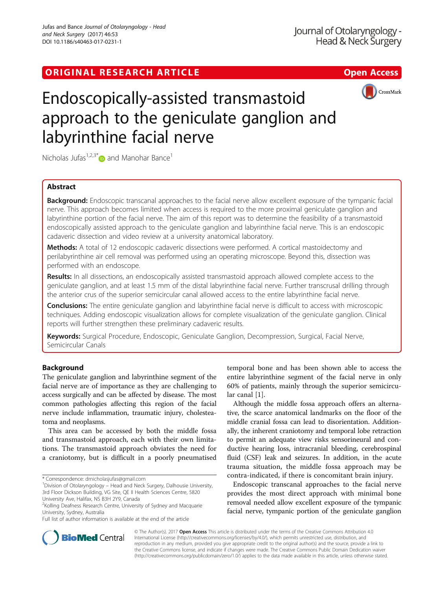# ORIGINAL RESEARCH ARTICLE **External of the Contract Contract Contract Contract Contract Contract Contract Contract Contract Contract Contract Contract Contract Contract Contract Contract Contract Contract Contract Contract**



# Endoscopically-assisted transmastoid approach to the geniculate ganglion and labyrinthine facial nerve

Nicholas Jufas<sup>1,2,3[\\*](http://orcid.org/0000-0002-3962-0819)</sup> $\bullet$  and Manohar Bance<sup>1</sup>

# Abstract

Background: Endoscopic transcanal approaches to the facial nerve allow excellent exposure of the tympanic facial nerve. This approach becomes limited when access is required to the more proximal geniculate ganglion and labyrinthine portion of the facial nerve. The aim of this report was to determine the feasibility of a transmastoid endoscopically assisted approach to the geniculate ganglion and labyrinthine facial nerve. This is an endoscopic cadaveric dissection and video review at a university anatomical laboratory.

Methods: A total of 12 endoscopic cadaveric dissections were performed. A cortical mastoidectomy and perilabyrinthine air cell removal was performed using an operating microscope. Beyond this, dissection was performed with an endoscope.

Results: In all dissections, an endoscopically assisted transmastoid approach allowed complete access to the geniculate ganglion, and at least 1.5 mm of the distal labyrinthine facial nerve. Further transcrusal drilling through the anterior crus of the superior semicircular canal allowed access to the entire labyrinthine facial nerve.

**Conclusions:** The entire geniculate ganglion and labyrinthine facial nerve is difficult to access with microscopic techniques. Adding endoscopic visualization allows for complete visualization of the geniculate ganglion. Clinical reports will further strengthen these preliminary cadaveric results.

Keywords: Surgical Procedure, Endoscopic, Geniculate Ganglion, Decompression, Surgical, Facial Nerve, Semicircular Canals

## Background

The geniculate ganglion and labyrinthine segment of the facial nerve are of importance as they are challenging to access surgically and can be affected by disease. The most common pathologies affecting this region of the facial nerve include inflammation, traumatic injury, cholesteatoma and neoplasms.

This area can be accessed by both the middle fossa and transmastoid approach, each with their own limitations. The transmastoid approach obviates the need for a craniotomy, but is difficult in a poorly pneumatised

temporal bone and has been shown able to access the entire labyrinthine segment of the facial nerve in only 60% of patients, mainly through the superior semicircular canal [[1](#page-4-0)].

Although the middle fossa approach offers an alternative, the scarce anatomical landmarks on the floor of the middle cranial fossa can lead to disorientation. Additionally, the inherent craniotomy and temporal lobe retraction to permit an adequate view risks sensorineural and conductive hearing loss, intracranial bleeding, cerebrospinal fluid (CSF) leak and seizures. In addition, in the acute trauma situation, the middle fossa approach may be contra-indicated, if there is concomitant brain injury.

Endoscopic transcanal approaches to the facial nerve provides the most direct approach with minimal bone removal needed allow excellent exposure of the tympanic facial nerve, tympanic portion of the geniculate ganglion



© The Author(s). 2017 **Open Access** This article is distributed under the terms of the Creative Commons Attribution 4.0 International License [\(http://creativecommons.org/licenses/by/4.0/](http://creativecommons.org/licenses/by/4.0/)), which permits unrestricted use, distribution, and reproduction in any medium, provided you give appropriate credit to the original author(s) and the source, provide a link to the Creative Commons license, and indicate if changes were made. The Creative Commons Public Domain Dedication waiver [\(http://creativecommons.org/publicdomain/zero/1.0/](http://creativecommons.org/publicdomain/zero/1.0/)) applies to the data made available in this article, unless otherwise stated.

<sup>\*</sup> Correspondence: [drnicholasjufas@gmail.com](mailto:drnicholasjufas@gmail.com) <sup>1</sup>

<sup>&</sup>lt;sup>1</sup> Division of Otolaryngology – Head and Neck Surgery, Dalhousie University, 3rd Floor Dickson Building, VG Site, QE II Health Sciences Centre, 5820 University Ave, Halifax, NS B3H 2Y9, Canada

<sup>&</sup>lt;sup>2</sup> Kolling Deafness Research Centre, University of Sydney and Macquarie University, Sydney, Australia

Full list of author information is available at the end of the article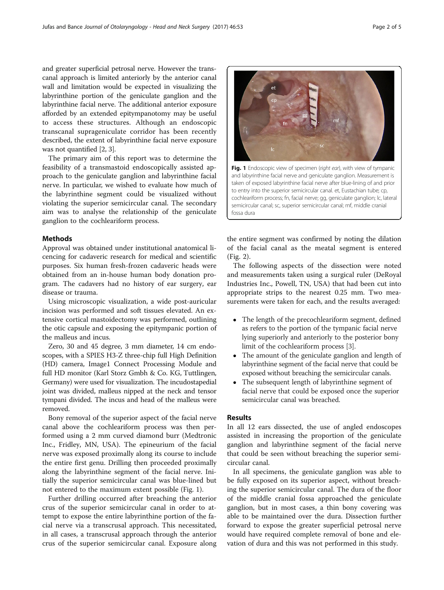and greater superficial petrosal nerve. However the transcanal approach is limited anteriorly by the anterior canal wall and limitation would be expected in visualizing the labyrinthine portion of the geniculate ganglion and the labyrinthine facial nerve. The additional anterior exposure afforded by an extended epitympanotomy may be useful to access these structures. Although an endoscopic transcanal suprageniculate corridor has been recently described, the extent of labyrinthine facial nerve exposure was not quantified [\[2, 3](#page-4-0)].

The primary aim of this report was to determine the feasibility of a transmastoid endoscopically assisted approach to the geniculate ganglion and labyrinthine facial nerve. In particular, we wished to evaluate how much of the labyrinthine segment could be visualized without violating the superior semicircular canal. The secondary aim was to analyse the relationship of the geniculate ganglion to the cochleariform process.

## **Methods**

Approval was obtained under institutional anatomical licencing for cadaveric research for medical and scientific purposes. Six human fresh-frozen cadaveric heads were obtained from an in-house human body donation program. The cadavers had no history of ear surgery, ear disease or trauma.

Using microscopic visualization, a wide post-auricular incision was performed and soft tissues elevated. An extensive cortical mastoidectomy was performed, outlining the otic capsule and exposing the epitympanic portion of the malleus and incus.

Zero, 30 and 45 degree, 3 mm diameter, 14 cm endoscopes, with a SPIES H3-Z three-chip full High Definition (HD) camera, Image1 Connect Processing Module and full HD monitor (Karl Storz Gmbh & Co. KG, Tuttlingen, Germany) were used for visualization. The incudostapedial joint was divided, malleus nipped at the neck and tensor tympani divided. The incus and head of the malleus were removed.

Bony removal of the superior aspect of the facial nerve canal above the cochleariform process was then performed using a 2 mm curved diamond burr (Medtronic Inc., Fridley, MN, USA). The epineurium of the facial nerve was exposed proximally along its course to include the entire first genu. Drilling then proceeded proximally along the labyrinthine segment of the facial nerve. Initially the superior semicircular canal was blue-lined but not entered to the maximum extent possible (Fig. 1).

Further drilling occurred after breaching the anterior crus of the superior semicircular canal in order to attempt to expose the entire labyrinthine portion of the facial nerve via a transcrusal approach. This necessitated, in all cases, a transcrusal approach through the anterior crus of the superior semicircular canal. Exposure along

# the entire segment was confirmed by noting the dilation taken of exposed labyrinthine facial nerve after blue-lining of and prior to entry into the superior semicircular canal. et, Eustachian tube; cp, cochleariform process; fn, facial nerve; gg, geniculate ganglion; lc, lateral semicircular canal; sc, superior semicircular canal; mf, middle cranial fossa dura

Fig. 1 Endoscopic view of specimen (right ear), with view of tympanic and labyrinthine facial nerve and geniculate ganglion. Measurement is

of the facial canal as the meatal segment is entered (Fig. [2\)](#page-2-0).

The following aspects of the dissection were noted and measurements taken using a surgical ruler (DeRoyal Industries Inc., Powell, TN, USA) that had been cut into appropriate strips to the nearest 0.25 mm. Two measurements were taken for each, and the results averaged:

- The length of the precochleariform segment, defined as refers to the portion of the tympanic facial nerve lying superiorly and anteriorly to the posterior bony limit of the cochleariform process [\[3](#page-4-0)].
- The amount of the geniculate ganglion and length of labyrinthine segment of the facial nerve that could be exposed without breaching the semicircular canals.
- The subsequent length of labyrinthine segment of facial nerve that could be exposed once the superior semicircular canal was breached.

## Results

In all 12 ears dissected, the use of angled endoscopes assisted in increasing the proportion of the geniculate ganglion and labyrinthine segment of the facial nerve that could be seen without breaching the superior semicircular canal.

In all specimens, the geniculate ganglion was able to be fully exposed on its superior aspect, without breaching the superior semicircular canal. The dura of the floor of the middle cranial fossa approached the geniculate ganglion, but in most cases, a thin bony covering was able to be maintained over the dura. Dissection further forward to expose the greater superficial petrosal nerve would have required complete removal of bone and elevation of dura and this was not performed in this study.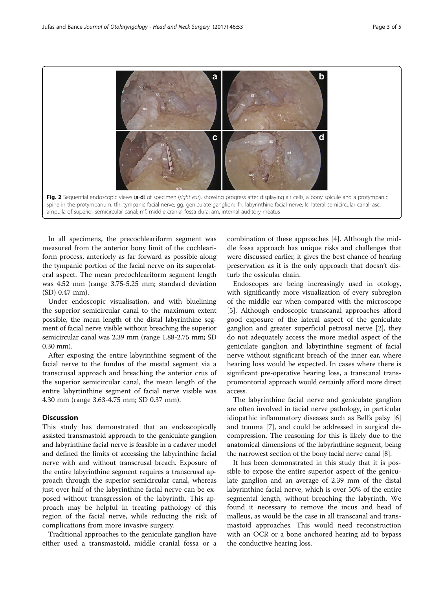<span id="page-2-0"></span>

In all specimens, the precochleariform segment was measured from the anterior bony limit of the cochleariform process, anteriorly as far forward as possible along the tympanic portion of the facial nerve on its superolateral aspect. The mean precochleariform segment length was 4.52 mm (range 3.75-5.25 mm; standard deviation (SD) 0.47 mm).

Under endoscopic visualisation, and with bluelining the superior semicircular canal to the maximum extent possible, the mean length of the distal labyrinthine segment of facial nerve visible without breaching the superior semicircular canal was 2.39 mm (range 1.88-2.75 mm; SD 0.30 mm).

After exposing the entire labyrinthine segment of the facial nerve to the fundus of the meatal segment via a transcrusal approach and breaching the anterior crus of the superior semicircular canal, the mean length of the entire labyrtinthine segment of facial nerve visible was 4.30 mm (range 3.63-4.75 mm; SD 0.37 mm).

## **Discussion**

This study has demonstrated that an endoscopically assisted transmastoid approach to the geniculate ganglion and labyrinthine facial nerve is feasible in a cadaver model and defined the limits of accessing the labyrinthine facial nerve with and without transcrusal breach. Exposure of the entire labyrinthine segment requires a transcrusal approach through the superior semicircular canal, whereas just over half of the labyrinthine facial nerve can be exposed without transgression of the labyrinth. This approach may be helpful in treating pathology of this region of the facial nerve, while reducing the risk of complications from more invasive surgery.

Traditional approaches to the geniculate ganglion have either used a transmastoid, middle cranial fossa or a

combination of these approaches [[4](#page-4-0)]. Although the middle fossa approach has unique risks and challenges that were discussed earlier, it gives the best chance of hearing preservation as it is the only approach that doesn't disturb the ossicular chain.

Endoscopes are being increasingly used in otology, with significantly more visualization of every subregion of the middle ear when compared with the microscope [[5\]](#page-4-0). Although endoscopic transcanal approaches afford good exposure of the lateral aspect of the geniculate ganglion and greater superficial petrosal nerve [\[2\]](#page-4-0), they do not adequately access the more medial aspect of the geniculate ganglion and labyrinthine segment of facial nerve without significant breach of the inner ear, where hearing loss would be expected. In cases where there is significant pre-operative hearing loss, a transcanal transpromontorial approach would certainly afford more direct access.

The labyrinthine facial nerve and geniculate ganglion are often involved in facial nerve pathology, in particular idiopathic inflammatory diseases such as Bell's palsy [\[6](#page-4-0)] and trauma [\[7](#page-4-0)], and could be addressed in surgical decompression. The reasoning for this is likely due to the anatomical dimensions of the labyrinthine segment, being the narrowest section of the bony facial nerve canal [[8](#page-4-0)].

It has been demonstrated in this study that it is possible to expose the entire superior aspect of the geniculate ganglion and an average of 2.39 mm of the distal labyrinthine facial nerve, which is over 50% of the entire segmental length, without breaching the labyrinth. We found it necessary to remove the incus and head of malleus, as would be the case in all transcanal and transmastoid approaches. This would need reconstruction with an OCR or a bone anchored hearing aid to bypass the conductive hearing loss.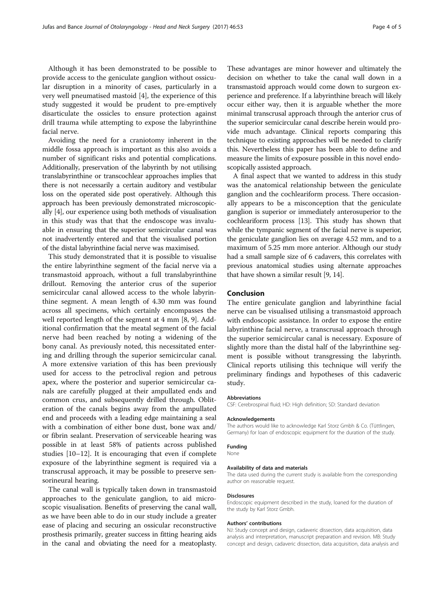Although it has been demonstrated to be possible to provide access to the geniculate ganglion without ossicular disruption in a minority of cases, particularly in a very well pneumatised mastoid [\[4](#page-4-0)], the experience of this study suggested it would be prudent to pre-emptively disarticulate the ossicles to ensure protection against drill trauma while attempting to expose the labyrinthine facial nerve.

Avoiding the need for a craniotomy inherent in the middle fossa approach is important as this also avoids a number of significant risks and potential complications. Additionally, preservation of the labyrinth by not utilising translabyrinthine or transcochlear approaches implies that there is not necessarily a certain auditory and vestibular loss on the operated side post operatively. Although this approach has been previously demonstrated microscopically [[4\]](#page-4-0), our experience using both methods of visualisation in this study was that that the endoscope was invaluable in ensuring that the superior semicircular canal was not inadvertently entered and that the visualised portion of the distal labyrinthine facial nerve was maximised.

This study demonstrated that it is possible to visualise the entire labyrinthine segment of the facial nerve via a transmastoid approach, without a full translabyrinthine drillout. Removing the anterior crus of the superior semicircular canal allowed access to the whole labyrinthine segment. A mean length of 4.30 mm was found across all specimens, which certainly encompasses the well reported length of the segment at 4 mm [[8](#page-4-0), [9](#page-4-0)]. Additional confirmation that the meatal segment of the facial nerve had been reached by noting a widening of the bony canal. As previously noted, this necessitated entering and drilling through the superior semicircular canal. A more extensive variation of this has been previously used for access to the petroclival region and petrous apex, where the posterior and superior semicircular canals are carefully plugged at their ampullated ends and common crus, and subsequently drilled through. Obliteration of the canals begins away from the ampullated end and proceeds with a leading edge maintaining a seal with a combination of either bone dust, bone wax and/ or fibrin sealant. Preservation of serviceable hearing was possible in at least 58% of patients across published studies [[10](#page-4-0)–[12\]](#page-4-0). It is encouraging that even if complete exposure of the labyrinthine segment is required via a transcrusal approach, it may be possible to preserve sensorineural hearing.

The canal wall is typically taken down in transmastoid approaches to the geniculate ganglion, to aid microscopic visualisation. Benefits of preserving the canal wall, as we have been able to do in our study include a greater ease of placing and securing an ossicular reconstructive prosthesis primarily, greater success in fitting hearing aids in the canal and obviating the need for a meatoplasty.

These advantages are minor however and ultimately the decision on whether to take the canal wall down in a transmastoid approach would come down to surgeon experience and preference. If a labyrinthine breach will likely occur either way, then it is arguable whether the more minimal transcrusal approach through the anterior crus of the superior semicircular canal describe herein would provide much advantage. Clinical reports comparing this technique to existing approaches will be needed to clarify this. Nevertheless this paper has been able to define and measure the limits of exposure possible in this novel endoscopically assisted approach.

A final aspect that we wanted to address in this study was the anatomical relationship between the geniculate ganglion and the cochleariform process. There occasionally appears to be a misconception that the geniculate ganglion is superior or immediately anterosuperior to the cochleariform process [\[13\]](#page-4-0). This study has shown that while the tympanic segment of the facial nerve is superior, the geniculate ganglion lies on average 4.52 mm, and to a maximum of 5.25 mm more anterior. Although our study had a small sample size of 6 cadavers, this correlates with previous anatomical studies using alternate approaches that have shown a similar result [\[9, 14](#page-4-0)].

## Conclusion

The entire geniculate ganglion and labyrinthine facial nerve can be visualised utilising a transmastoid approach with endoscopic assistance. In order to expose the entire labyrinthine facial nerve, a transcrusal approach through the superior semicircular canal is necessary. Exposure of slightly more than the distal half of the labyrinthine segment is possible without transgressing the labyrinth. Clinical reports utilising this technique will verify the preliminary findings and hypotheses of this cadaveric study.

#### Abbreviations

CSF: Cerebrospinal fluid; HD: High definition; SD: Standard deviation

#### Acknowledgements

The authors would like to acknowledge Karl Storz Gmbh & Co. (Tüttlingen, Germany) for loan of endoscopic equipment for the duration of the study.

## Funding

None

#### Availability of data and materials

The data used during the current study is available from the corresponding author on reasonable request.

#### Disclosures

Endoscopic equipment described in the study, loaned for the duration of the study by Karl Storz Gmbh.

#### Authors' contributions

NJ: Study concept and design, cadaveric dissection, data acquisition, data analysis and interpretation, manuscript preparation and revision. MB: Study concept and design, cadaveric dissection, data acquisition, data analysis and